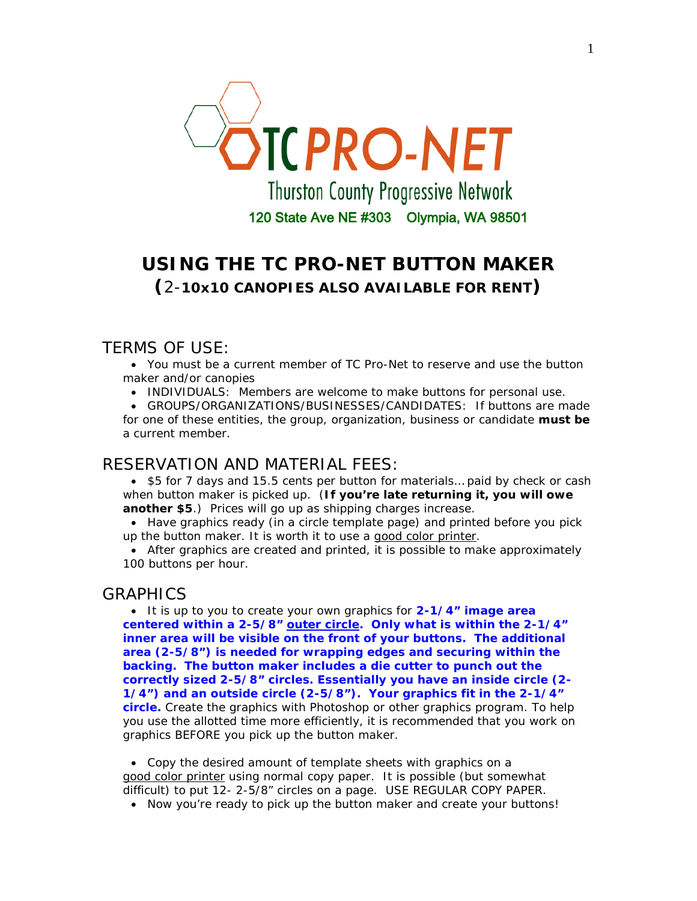

# **USING THE TC PRO-NET BUTTON MAKER (**2-**10x10 CANOPIES ALSO AVAILABLE FOR RENT)**

## TERMS OF USE:

• You must be a current member of TC Pro-Net to reserve and use the button maker and/or canopies

• INDIVIDUALS: Members are welcome to make buttons for personal use.

• GROUPS/ORGANIZATIONS/BUSINESSES/CANDIDATES: If buttons are made for one of these entities, the group, organization, business or candidate **must be** a current member.

## RESERVATION AND MATERIAL FEES:

• \$5 for 7 days and 15.5 cents per button for materials… paid by check or cash when button maker is picked up. (**If you're late returning it, you will owe another \$5**.) Prices will go up as shipping charges increase.

• Have graphics ready (in a circle template page) and printed before you pick up the button maker. It is worth it to use a good color printer.

• After graphics are created and printed, it is possible to make approximately 100 buttons per hour.

## GRAPHICS

• It is up to you to create your own graphics for **2-1/4" image area** centered within a 2-5/8" outer circle. Only what is within the 2-1/4" **inner area will be visible on the front of your buttons. The additional area (2-5/8") is needed for wrapping edges and securing within the backing. The button maker includes a die cutter to punch out the correctly sized 2-5/8" circles. Essentially you have an inside circle (2- 1/4") and an outside circle (2-5/8"). Your graphics fit in the 2-1/4" circle.** Create the graphics with Photoshop or other graphics program. To help you use the allotted time more efficiently, it is recommended that you work on graphics BEFORE you pick up the button maker.

• Copy the desired amount of template sheets with graphics on a good color printer using normal copy paper. It is possible (but somewhat difficult) to put 12- 2-5/8" circles on a page. USE REGULAR COPY PAPER.

• Now you're ready to pick up the button maker and create your buttons!